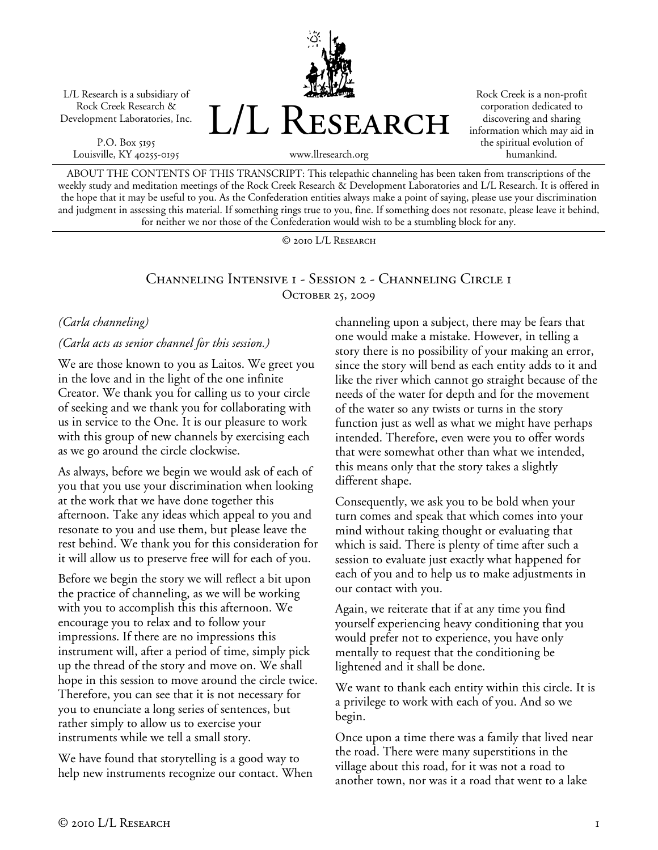L/L Research is a subsidiary of Rock Creek Research & Development Laboratories, Inc.

P.O. Box 5195 Louisville, KY 40255-0195



Rock Creek is a non-profit corporation dedicated to discovering and sharing information which may aid in the spiritual evolution of humankind.

www.llresearch.org

ABOUT THE CONTENTS OF THIS TRANSCRIPT: This telepathic channeling has been taken from transcriptions of the weekly study and meditation meetings of the Rock Creek Research & Development Laboratories and L/L Research. It is offered in the hope that it may be useful to you. As the Confederation entities always make a point of saying, please use your discrimination and judgment in assessing this material. If something rings true to you, fine. If something does not resonate, please leave it behind, for neither we nor those of the Confederation would wish to be a stumbling block for any.

© 2010 L/L Research

#### Channeling Intensive 1 - Session 2 - Channeling Circle 1 OCTOBER 25, 2009

#### *(Carla channeling)*

#### *(Carla acts as senior channel for this session.)*

We are those known to you as Laitos. We greet you in the love and in the light of the one infinite Creator. We thank you for calling us to your circle of seeking and we thank you for collaborating with us in service to the One. It is our pleasure to work with this group of new channels by exercising each as we go around the circle clockwise.

As always, before we begin we would ask of each of you that you use your discrimination when looking at the work that we have done together this afternoon. Take any ideas which appeal to you and resonate to you and use them, but please leave the rest behind. We thank you for this consideration for it will allow us to preserve free will for each of you.

Before we begin the story we will reflect a bit upon the practice of channeling, as we will be working with you to accomplish this this afternoon. We encourage you to relax and to follow your impressions. If there are no impressions this instrument will, after a period of time, simply pick up the thread of the story and move on. We shall hope in this session to move around the circle twice. Therefore, you can see that it is not necessary for you to enunciate a long series of sentences, but rather simply to allow us to exercise your instruments while we tell a small story.

We have found that storytelling is a good way to help new instruments recognize our contact. When channeling upon a subject, there may be fears that one would make a mistake. However, in telling a story there is no possibility of your making an error, since the story will bend as each entity adds to it and like the river which cannot go straight because of the needs of the water for depth and for the movement of the water so any twists or turns in the story function just as well as what we might have perhaps intended. Therefore, even were you to offer words that were somewhat other than what we intended, this means only that the story takes a slightly different shape.

Consequently, we ask you to be bold when your turn comes and speak that which comes into your mind without taking thought or evaluating that which is said. There is plenty of time after such a session to evaluate just exactly what happened for each of you and to help us to make adjustments in our contact with you.

Again, we reiterate that if at any time you find yourself experiencing heavy conditioning that you would prefer not to experience, you have only mentally to request that the conditioning be lightened and it shall be done.

We want to thank each entity within this circle. It is a privilege to work with each of you. And so we begin.

Once upon a time there was a family that lived near the road. There were many superstitions in the village about this road, for it was not a road to another town, nor was it a road that went to a lake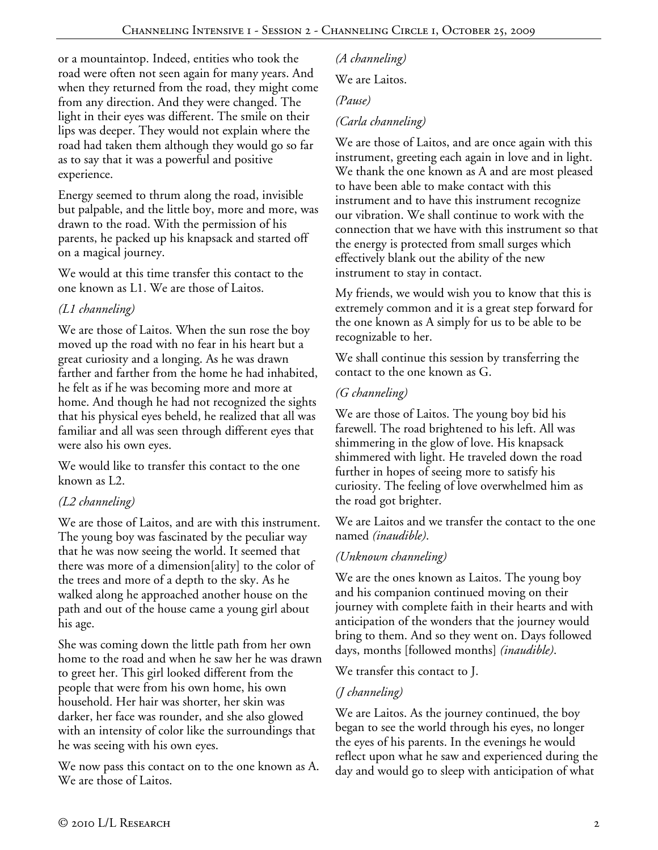or a mountaintop. Indeed, entities who took the road were often not seen again for many years. And when they returned from the road, they might come from any direction. And they were changed. The light in their eyes was different. The smile on their lips was deeper. They would not explain where the road had taken them although they would go so far as to say that it was a powerful and positive experience.

Energy seemed to thrum along the road, invisible but palpable, and the little boy, more and more, was drawn to the road. With the permission of his parents, he packed up his knapsack and started off on a magical journey.

We would at this time transfer this contact to the one known as L1. We are those of Laitos.

# *(L1 channeling)*

We are those of Laitos. When the sun rose the boy moved up the road with no fear in his heart but a great curiosity and a longing. As he was drawn farther and farther from the home he had inhabited, he felt as if he was becoming more and more at home. And though he had not recognized the sights that his physical eyes beheld, he realized that all was familiar and all was seen through different eyes that were also his own eyes.

We would like to transfer this contact to the one known as L2.

## *(L2 channeling)*

We are those of Laitos, and are with this instrument. The young boy was fascinated by the peculiar way that he was now seeing the world. It seemed that there was more of a dimension[ality] to the color of the trees and more of a depth to the sky. As he walked along he approached another house on the path and out of the house came a young girl about his age.

She was coming down the little path from her own home to the road and when he saw her he was drawn to greet her. This girl looked different from the people that were from his own home, his own household. Her hair was shorter, her skin was darker, her face was rounder, and she also glowed with an intensity of color like the surroundings that he was seeing with his own eyes.

We now pass this contact on to the one known as A. We are those of Laitos.

*(A channeling)* 

We are Laitos.

#### *(Pause)*

## *(Carla channeling)*

We are those of Laitos, and are once again with this instrument, greeting each again in love and in light. We thank the one known as A and are most pleased to have been able to make contact with this instrument and to have this instrument recognize our vibration. We shall continue to work with the connection that we have with this instrument so that the energy is protected from small surges which effectively blank out the ability of the new instrument to stay in contact.

My friends, we would wish you to know that this is extremely common and it is a great step forward for the one known as A simply for us to be able to be recognizable to her.

We shall continue this session by transferring the contact to the one known as G.

## *(G channeling)*

We are those of Laitos. The young boy bid his farewell. The road brightened to his left. All was shimmering in the glow of love. His knapsack shimmered with light. He traveled down the road further in hopes of seeing more to satisfy his curiosity. The feeling of love overwhelmed him as the road got brighter.

We are Laitos and we transfer the contact to the one named *(inaudible)*.

# *(Unknown channeling)*

We are the ones known as Laitos. The young boy and his companion continued moving on their journey with complete faith in their hearts and with anticipation of the wonders that the journey would bring to them. And so they went on. Days followed days, months [followed months] *(inaudible)*.

We transfer this contact to J.

## *(J channeling)*

We are Laitos. As the journey continued, the boy began to see the world through his eyes, no longer the eyes of his parents. In the evenings he would reflect upon what he saw and experienced during the day and would go to sleep with anticipation of what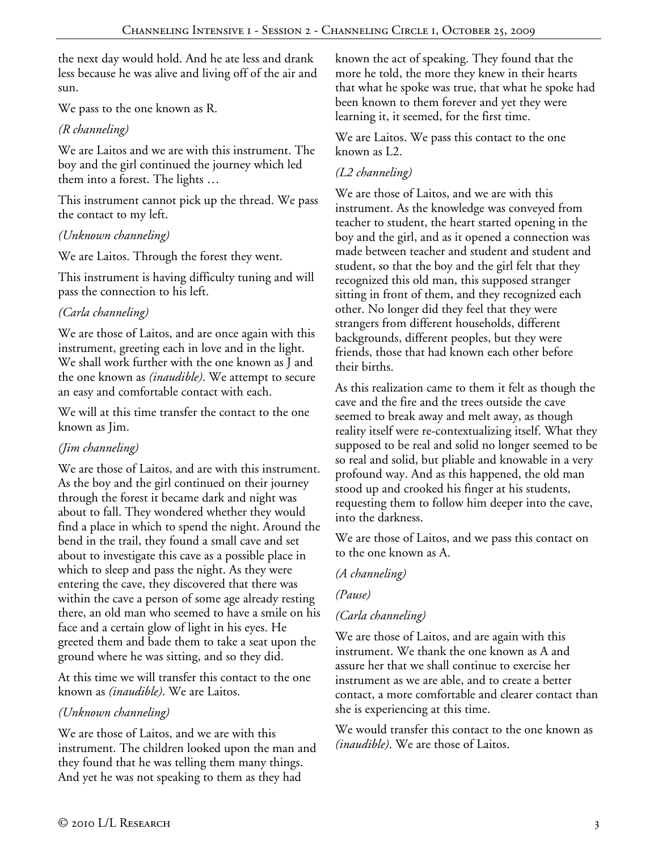the next day would hold. And he ate less and drank less because he was alive and living off of the air and sun.

We pass to the one known as R.

# *(R channeling)*

We are Laitos and we are with this instrument. The boy and the girl continued the journey which led them into a forest. The lights …

This instrument cannot pick up the thread. We pass the contact to my left.

# *(Unknown channeling)*

We are Laitos. Through the forest they went.

This instrument is having difficulty tuning and will pass the connection to his left.

# *(Carla channeling)*

We are those of Laitos, and are once again with this instrument, greeting each in love and in the light. We shall work further with the one known as J and the one known as *(inaudible)*. We attempt to secure an easy and comfortable contact with each.

We will at this time transfer the contact to the one known as Jim.

# *(Jim channeling)*

We are those of Laitos, and are with this instrument. As the boy and the girl continued on their journey through the forest it became dark and night was about to fall. They wondered whether they would find a place in which to spend the night. Around the bend in the trail, they found a small cave and set about to investigate this cave as a possible place in which to sleep and pass the night. As they were entering the cave, they discovered that there was within the cave a person of some age already resting there, an old man who seemed to have a smile on his face and a certain glow of light in his eyes. He greeted them and bade them to take a seat upon the ground where he was sitting, and so they did.

At this time we will transfer this contact to the one known as *(inaudible)*. We are Laitos.

## *(Unknown channeling)*

We are those of Laitos, and we are with this instrument. The children looked upon the man and they found that he was telling them many things. And yet he was not speaking to them as they had

known the act of speaking. They found that the more he told, the more they knew in their hearts that what he spoke was true, that what he spoke had been known to them forever and yet they were learning it, it seemed, for the first time.

We are Laitos. We pass this contact to the one known as L2.

# *(L2 channeling)*

We are those of Laitos, and we are with this instrument. As the knowledge was conveyed from teacher to student, the heart started opening in the boy and the girl, and as it opened a connection was made between teacher and student and student and student, so that the boy and the girl felt that they recognized this old man, this supposed stranger sitting in front of them, and they recognized each other. No longer did they feel that they were strangers from different households, different backgrounds, different peoples, but they were friends, those that had known each other before their births.

As this realization came to them it felt as though the cave and the fire and the trees outside the cave seemed to break away and melt away, as though reality itself were re-contextualizing itself. What they supposed to be real and solid no longer seemed to be so real and solid, but pliable and knowable in a very profound way. And as this happened, the old man stood up and crooked his finger at his students, requesting them to follow him deeper into the cave, into the darkness.

We are those of Laitos, and we pass this contact on to the one known as A.

## *(A channeling)*

*(Pause)* 

# *(Carla channeling)*

We are those of Laitos, and are again with this instrument. We thank the one known as A and assure her that we shall continue to exercise her instrument as we are able, and to create a better contact, a more comfortable and clearer contact than she is experiencing at this time.

We would transfer this contact to the one known as *(inaudible)*. We are those of Laitos.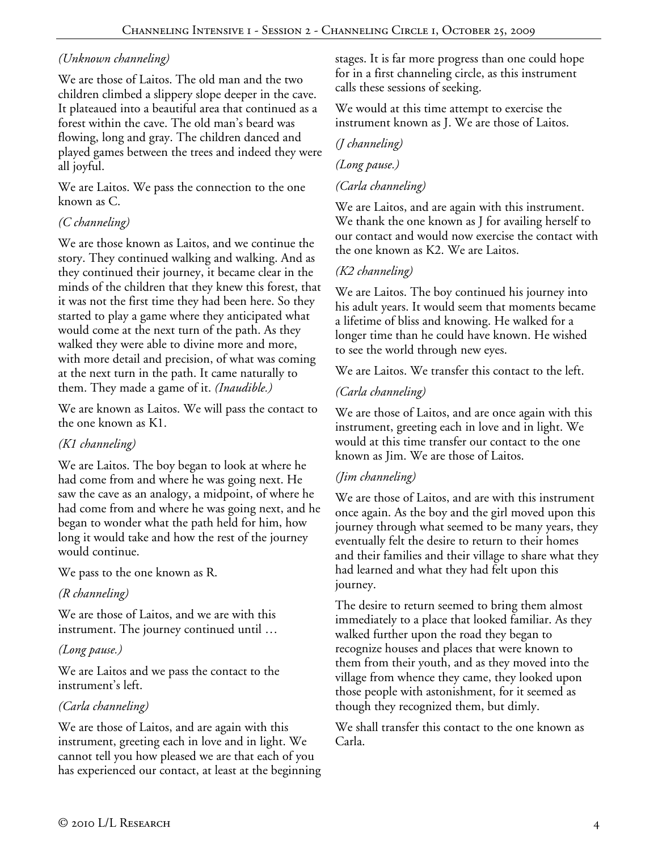# *(Unknown channeling)*

We are those of Laitos. The old man and the two children climbed a slippery slope deeper in the cave. It plateaued into a beautiful area that continued as a forest within the cave. The old man's beard was flowing, long and gray. The children danced and played games between the trees and indeed they were all joyful.

We are Laitos. We pass the connection to the one known as C.

#### *(C channeling)*

We are those known as Laitos, and we continue the story. They continued walking and walking. And as they continued their journey, it became clear in the minds of the children that they knew this forest, that it was not the first time they had been here. So they started to play a game where they anticipated what would come at the next turn of the path. As they walked they were able to divine more and more, with more detail and precision, of what was coming at the next turn in the path. It came naturally to them. They made a game of it. *(Inaudible.)*

We are known as Laitos. We will pass the contact to the one known as K1.

## *(K1 channeling)*

We are Laitos. The boy began to look at where he had come from and where he was going next. He saw the cave as an analogy, a midpoint, of where he had come from and where he was going next, and he began to wonder what the path held for him, how long it would take and how the rest of the journey would continue.

We pass to the one known as R.

#### *(R channeling)*

We are those of Laitos, and we are with this instrument. The journey continued until …

#### *(Long pause.)*

We are Laitos and we pass the contact to the instrument's left.

## *(Carla channeling)*

We are those of Laitos, and are again with this instrument, greeting each in love and in light. We cannot tell you how pleased we are that each of you has experienced our contact, at least at the beginning stages. It is far more progress than one could hope for in a first channeling circle, as this instrument calls these sessions of seeking.

We would at this time attempt to exercise the instrument known as J. We are those of Laitos.

#### *(J channeling)*

#### *(Long pause.)*

#### *(Carla channeling)*

We are Laitos, and are again with this instrument. We thank the one known as J for availing herself to our contact and would now exercise the contact with the one known as K2. We are Laitos.

#### *(K2 channeling)*

We are Laitos. The boy continued his journey into his adult years. It would seem that moments became a lifetime of bliss and knowing. He walked for a longer time than he could have known. He wished to see the world through new eyes.

We are Laitos. We transfer this contact to the left.

#### *(Carla channeling)*

We are those of Laitos, and are once again with this instrument, greeting each in love and in light. We would at this time transfer our contact to the one known as Jim. We are those of Laitos.

#### *(Jim channeling)*

We are those of Laitos, and are with this instrument once again. As the boy and the girl moved upon this journey through what seemed to be many years, they eventually felt the desire to return to their homes and their families and their village to share what they had learned and what they had felt upon this journey.

The desire to return seemed to bring them almost immediately to a place that looked familiar. As they walked further upon the road they began to recognize houses and places that were known to them from their youth, and as they moved into the village from whence they came, they looked upon those people with astonishment, for it seemed as though they recognized them, but dimly.

We shall transfer this contact to the one known as Carla.